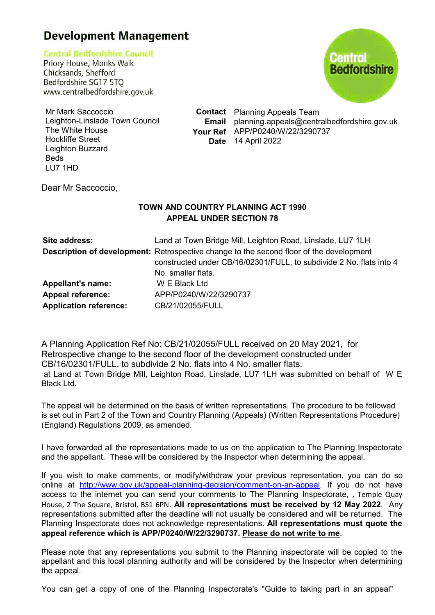## **Development Management**

**Central Bedfordshire Council** 

Priory House, Monks Walk Chicksands, Shefford Bedfordshire SG17 5TQ www.centralbedfordshire.gov.uk



Mr Mark Saccoccio Leighton-Linslade Town Council The White House Hockliffe Street Leighton Buzzard Beds LU7 1HD

**Contact** Planning Appeals Team **Email** planning.appeals@centralbedfordshire.gov.uk **Your Ref** APP/P0240/W/22/3290737 **Date** 14 April 2022

Dear Mr Saccoccio,

## **TOWN AND COUNTRY PLANNING ACT 1990 APPEAL UNDER SECTION 78**

| Site address:                 | Land at Town Bridge Mill, Leighton Road, Linslade, LU7 1LH                                                                                                            |
|-------------------------------|-----------------------------------------------------------------------------------------------------------------------------------------------------------------------|
|                               | <b>Description of development:</b> Retrospective change to the second floor of the development<br>constructed under CB/16/02301/FULL, to subdivide 2 No. flats into 4 |
|                               | No. smaller flats.                                                                                                                                                    |
| <b>Appellant's name:</b>      | W E Black Ltd                                                                                                                                                         |
| <b>Appeal reference:</b>      | APP/P0240/W/22/3290737                                                                                                                                                |
| <b>Application reference:</b> | CB/21/02055/FULL                                                                                                                                                      |

A Planning Application Ref No: CB/21/02055/FULL received on 20 May 2021, for Retrospective change to the second floor of the development constructed under CB/16/02301/FULL, to subdivide 2 No. flats into 4 No. smaller flats. at Land at Town Bridge Mill, Leighton Road, Linslade, LU7 1LH was submitted on behalf of W E Black Ltd.

The appeal will be determined on the basis of written representations. The procedure to be followed is set out in Part 2 of the Town and Country Planning (Appeals) (Written Representations Procedure) (England) Regulations 2009, as amended.

I have forwarded all the representations made to us on the application to The Planning Inspectorate and the appellant. These will be considered by the Inspector when determining the appeal.

If you wish to make comments, or modify/withdraw your previous representation, you can do so online at http://www.gov.uk/appeal-planning-decision/comment-on-an-appeal. If you do not have access to the internet you can send your comments to The Planning Inspectorate, , Temple Quay House, 2 The Square, Bristol, BS1 6PN. **All representations must be received by 12 May 2022**. Any representations submitted after the deadline will not usually be considered and will be returned. The Planning Inspectorate does not acknowledge representations. **All representations must quote the appeal reference which is APP/P0240/W/22/3290737. Please do not write to me**.

Please note that any representations you submit to the Planning inspectorate will be copied to the appellant and this local planning authority and will be considered by the Inspector when determining the appeal.

You can get a copy of one of the Planning Inspectorate's "Guide to taking part in an appeal"